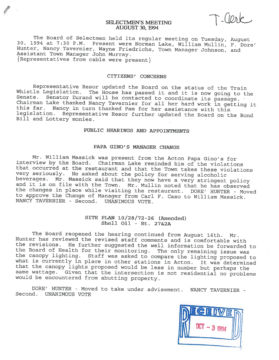# SELECTMEN'S MEETING<br>AUGUST 30, 1994

The Board of Selectmen held its regular meeting on Tuesday, August 30, 1994 at 7:30 P.M. Present were Norman Lake, William Mullin, F. Dore'<br>Hunter, Nancy Tavernier, Wayne Friedrichs, Town Manager Johnson, and<br>Assistant Tow

## CITIZENS' CONCERNS

Representative Resor updated the Board on the status of the Train<br>Whistle Legislation. The House has passed it and it is now going to the Senate. Senator Durand will be contacted to coordinate its passage.<br>Chairman Lake thanked Nancy Tavernier for all her hard work in getting it<br>this far. Nancy in turn thanked Pam for her assistance with this legislation. Representative Resor further updated the Board on the Bond Bill and Lottery monies.

# PUBLIC HEARINGS AND APPOINTMENTS

#### PAPA GINO'S MANAGER CHANGE

Mr. William Massick was present from the Acton Papa Gino's for interview by the Board. Chairman Lake reminded him of the violations that occurred at the restaurant and that the Town takes these violations<br>very seriously. He asked about the policy for serving alcoholic beverages. Mr. Massick said that they now have a very stringent policy and it is on file with the Town. Mr. Mullin noted that he has observed the changes in place while visiting the restaurant. DORE' HUNTER - Moved to approve the Change of Manager from Carl F. Caso to William Massick. NANCY TAVERNIER - Second. UNANIMOUS VOTE.

# SITE PLAN 10/28/72-26 (Amended) Shell Oil - Rt. 27&2A

The Board reopened the hearing continued from August 16th. Mr. Hunter has reviewed the revised staff comments and is comfortable with the revisions. He further suggested the well information be forwarded to the canopy lighting. Staff was asked to compare the lighting proposed to what is currently in place in other stations in Acton. It was determined that the canopy lights proposed would be less in number but perhaps the same wattage. Given that the intersection is not residential no problems would be encountered from abutting property.

BORE' HUNTER - Moved to take under advisement. NANCY TAVERNIER - Second. UNANIMOUS VOTE

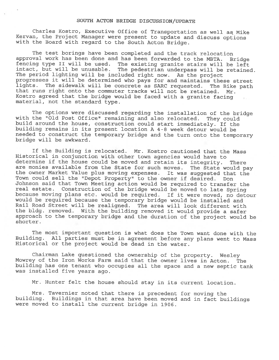## SOUTH ACTON BRIDGE DISCUSSION/UPDATE

Charles Kostro, Executive Office of Transportation as well as Mike Kervan, the Project Manager were present to update and discuss options with the Board with regard to the South Acton Bridge.

The test borings have been completed and the track relocation<br>approval work has been done and has been forwarded to the MBTA. Bridge fencing type II will be used. The existing granite stairs will be left intact, but will be unusable. The pedestrian underpass will be retained. The period lighting will be included right now. As the project progresses it will be determined who pays for and maintains these street<br>lights. The sidewalk will be concrete as SARC requested. The Bike path that runs right onto the commuter tracks will not be retained. Mr. Kostro agreed that the bridge would be faced with <sup>a</sup> granite facing material, not the standard type.

The options were discussed regarding the installation of the bridge with the "Old Post Office" remaining and also relocated. They could build around the house, construction could start immediately. If the building remains in its present location A 4-8 week detour would be needed to construct the temporary bridge and the turn onto the temporary bridge will be awkward.

If the Building is relocated. Mr. Kostro cautioned that the Mass Historical in conjunction with other town agencies would have to determine if the house could be moved and retain its integrity. There<br>are monies available from the State for such moves. The State would pay the owner Market Value plus moving expenses. It was suggested that the Town could sell the "Depot Property" to the owner if desired. Don Johnson said that Town Meeting action would be required to transfer the real estate. Construction of the bridge would be moved to late Spring because moving <sup>p</sup>lans etc. would be required. If it were moved, no detour would be required because the temporary bridge would be installed and Rail Road Street will be realigned. The area will look different with the bldg. removed. With the building removed it would provide <sup>a</sup> safer approach to the temporary bridge and the duration of the project would be shorter.

The most important question is what does the Town want done with the Building. All parties must be in agreement before any <sup>p</sup>lans went to Mass Historical or the project would be dead in the water.

Chairman Lake questioned the ownership of the property. Wesley Mowrey of the Iron Works Farm said that the owner lives in Acton. The building has one tenant who occupies all the space and <sup>a</sup> new septic tank was installed five years ago.

Mr. Hunter felt the house should stay in its current location.

Mrs. Tavernier noted that there is precedent for moving the building. Buildings in that area have been moved and in fact buildings were moved to install the current bridge in 1906.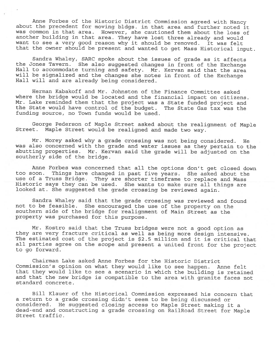Anne Forbes of the Historic District Commission agree<sup>d</sup> with Nancy about the precedent for moving bldgs. in that area and further noted it was common in that area. However, she cautioned them about the loss of another building in that area. They have lost three already and would want to see a very good reason why it should be removed. It was felt that the owner should be presen<sup>t</sup> and wanted to ge<sup>t</sup> Mass Historical input.

Sandra Whaley, SARC spoke about the issues of grade as it affects the Jones Tavern. She also suggested changes in front of the Exchange Hall to accommodate turning and safety. Mr. Kervan said that the area will be signalized and the changes she notes in front of the Exchange Hall will and are already being considered.

Herman Kabakoff and Mr. Johnston of the Finance Committee asked where the bridge would be located and the financial impact on citizens. Mr. Lake reminded them that the project was <sup>a</sup> State funded project and the State would have control of the budget. The State Gas tax was the funding source, no Town funds would be used.

George Pederson of Maple Street asked about the realignment of Maple Street. Maple Street would be realigned and made two way.

Mr. Morey asked why <sup>a</sup> grade crossing was not being considered. He was also concerned with the grade and water issues as they pertain to the abutting properties. Mr. Kervan said the grade will be adjusted on the southerly side of the bridge.

Anne Forbes was concerned that all the options don't ge<sup>t</sup> closed down too soon. Things have changed in past five years. She asked about the use of <sup>a</sup> Truss Bridge. They are shorter timeframe to replace and Mass Historic says they can be used. She wants to make sure all things are looked at. She suggested the grade crossing be reviewed again.

Sandra Whaley said that the grade crossing was reviewed and found not to be feasible. She encourage<sup>d</sup> the use of the property on the southern side of the bridge for realignment of Main Street as the property was purchased for this purpose.

Mr. Kostro said that the Truss bridges were not <sup>a</sup> goo<sup>d</sup> option as they are very fracture critical as well as being more design intensive. The estimated cost of the project is \$2.5 million and it is critical that all parties agree on the scope and presen<sup>t</sup> <sup>a</sup> united front for the project to go forward.

Chairman Lake asked Anne Forbes for the Historic District Commission's opinion on what they would like to see happen. Anne felt that they would like to see <sup>a</sup> scenario in which the building is retained and that the new bridge is compatible to the area with granite faces not standard concrete.

Bill Klauer of the Historical Commission expresse<sup>d</sup> his concern that <sup>a</sup> return to <sup>a</sup> grade crossing didn't seem to be being discussed or considered. He suggested closing access to Maple Street making it <sup>a</sup> dead-end and constructing <sup>a</sup> grade crossing on RailRoad Street for Maple Street traffic.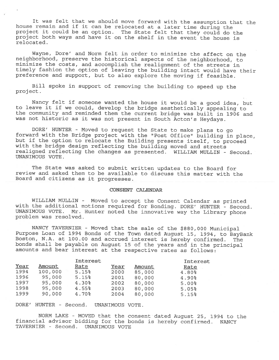It was felt that we should move forward with the assumption that the house remain and if it can be relocated at <sup>a</sup> later time during the project it could be an option. The State felt that they could do the project both ways and have it on the shelf in the event the house is relocated.

Wayne, Dore' and Norm felt in order to minimize the affect on the neighborhood, preserve the historical aspects of the neighborhood, to minimize the costs, and accomplish the realignment of the streets in timely fashion the option of leaving the building intact would have their preference and support, but to also explore the moving if feasible.

Bill spoke in support of removing the building to speed up the project.

Nancy felt if someone wanted the house it would be <sup>a</sup> good idea, but to leave it if we could, develop the bridge aesthetically appealing to the community and reminded them the current bridge was built in <sup>1906</sup> and was not historic as it was not present in South Acton's Heydays.

DORE' HUNTER - Moved to request the State to make <sup>p</sup>lans to go forward with the Bridge project with the "Post Office" building in place, but if the option to relocate the Building presents itself, to proceed with the bridge design reflecting the building moved and streets realigned reflecting the changes as presented. WILLIAM MULLIN - Second. UNANIMOUS VOTE.

The State was asked to submit written updates to the Board for review and asked them to be available to discuss this matter with the Board and citizens as it progresses.

## CONSENT CALENDAR

WILLIAM MULLIN - Moved to accept the Consent Calendar as printed with the additional motions required for Bonding. DORE' HUNTER - Second.<br>UNANIMOUS VOTE. Mr. Hunter noted the innovative way the Library phone Mr. Hunter noted the innovative way the Library phone problem was resolved.

NANCY TAVERNIER - Moved that the sale of the \$880,000 Municipal Purpose Loan of <sup>1994</sup> Bonds of the Town dated August 15, 1994, to BayBank Boston, N.A. at 100.00 and accrued interest is hereby confirmed. The bonds shall be payable on August <sup>15</sup> of the years and in the principal amounts and bear interest at the respective rates as follows:

|      |         | Interest |      |        | Interest          |
|------|---------|----------|------|--------|-------------------|
| Year | Amount  | Rate     | Year | Amount | Rate              |
| 1994 | 100,000 | 5.15%    | 2000 | 85,000 | 4.80%             |
| 1996 | 95,000  | 5.15%    | 2001 | 80,000 | 4.90 <sub>8</sub> |
| 1997 | 95,000  | 4.30%    | 2002 | 80,000 | 5.00%             |
| 1998 | 95,000  | 4.55%    | 2003 | 80,000 | 5.05%             |
| 1999 | 90,000  | 4.70%    | 2004 | 80,000 | 5.15%             |

DORE' HUNTER - Second. UNANIMOUS VOTE.

NORM LAKE - MOVED that the consent dated August 25, 1994 to the financial advisor bidding for the bonds is hereby confirmed. NANCY TAVERNIER - Second. UNANIMOUS VOTE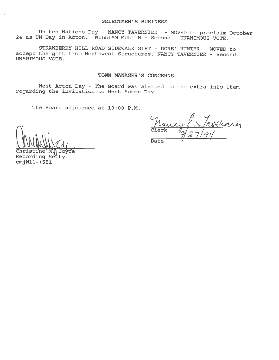United Nations Day - NANCY TAVERNIER - MOVED to proclaim October 24 as UN Day in Acton. WILLIAN MULLIN - Second. UNANIMOUS VOTE.

STRAWBERRY HILL ROAD SIDEWALK GIFT - DORE' HUNTER - MOVED to accept the gift from Northwest Structures. NANCY TAVERNIER - Second. UNANIMOUS VOTE.

# TOWN MANAGER'S CONCERNS

West Acton Day - The Board was alerted to the extra info item regarding the invitation to West Acton Day.

The Board adjourned at 10:00 P.M.

 $\bigcap_{\mathfrak{g}}$   $\bigcup_{\mathfrak{g}}$   $\bigcup_{\mathfrak{g}}$ 

Christine`M.\]Joyce Recording Sety. cmjWll- (551

Date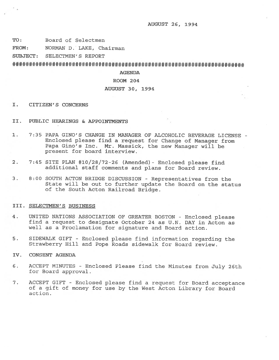AUGUST 26, 1994

TO: Board of Selectmen

FROM: NORMAN D. LAKE, Chairman

SUBJECT: SELECTMEN'S REPORT

# AGENDA

## ROOM 204

# AUGUST 30, 1994

- I. CITIZEN'S CONCERNS
- II. PUBLIC HEARINGS & APPOINTMENTS
- 1. 7:35 PAPA GINO'S CHANGE IN MANAGER OF ALCOHOLIC BEVERAGE LICENSE Enclosed <sup>p</sup>lease find <sup>a</sup> reques<sup>t</sup> for Change of Manager from Papa Gino's Inc. Mr. Massick, the new Manager will be presen<sup>t</sup> for board interview.
- 2. 7:45 SITE PLAN #10/28/72-26 (Amended)- Enclosed <sup>p</sup>lease find additional staff comments and plans for Board review.
- 3. 8:00 SOUTH ACTON BRIDGE DISCUSSION -Representatives from the State will be out to further update the Board on the status of the South Acton Railroad Bridge.

#### III. SELECTMEN'S BUSINESS

- 4. UNITED NATIONS ASSOCIATION OF GREATER BOSTON -Enclosed <sup>p</sup>lease find <sup>a</sup> reques<sup>t</sup> to designate October 24 as U.N. DAY in Acton as well as <sup>a</sup> Proclamation for signature and Board action.
- 5. SIDEWALK GIFT Enclosed <sup>p</sup>lease find information regarding the Strawberry Hill and Pope Roads sidewalk for Board review.
- IV. CONSENT AGENDA
- 6. ACCEPT MINUTES -Enclosed Please find the Minutes from July 26th for Board approval.
- 7. ACCEPT GIFT Enclosed <sup>p</sup>lease find <sup>a</sup> reques<sup>t</sup> for Board acceptance of <sup>a</sup> <sup>g</sup>ift of money for use by the West Acton Library for Board action.